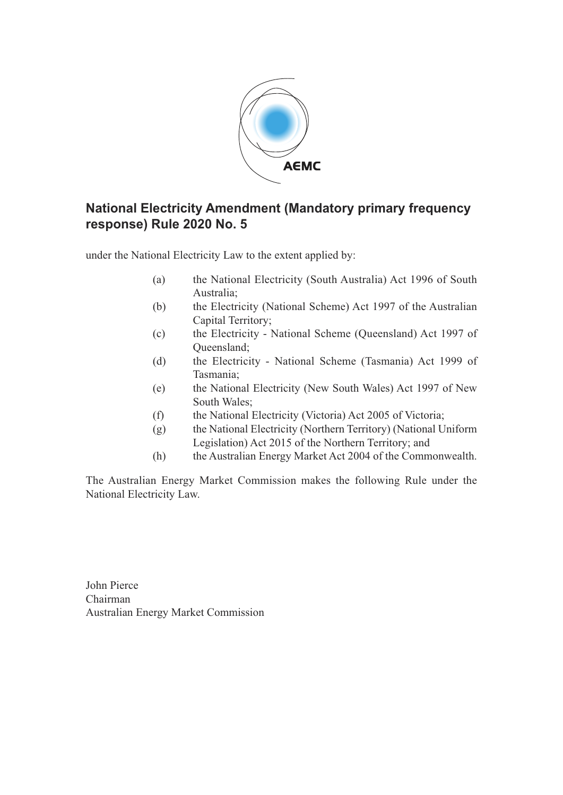

## **National Electricity Amendment (Mandatory primary frequency response) Rule 2020 No. 5**

under the National Electricity Law to the extent applied by:

- (a) the National Electricity (South Australia) Act 1996 of South Australia;
- (b) the Electricity (National Scheme) Act 1997 of the Australian Capital Territory;
- (c) the Electricity National Scheme (Queensland) Act 1997 of Queensland;
- (d) the Electricity National Scheme (Tasmania) Act 1999 of Tasmania;
- (e) the National Electricity (New South Wales) Act 1997 of New South Wales;
- (f) the National Electricity (Victoria) Act 2005 of Victoria;
- (g) the National Electricity (Northern Territory) (National Uniform Legislation) Act 2015 of the Northern Territory; and
- (h) the Australian Energy Market Act 2004 of the Commonwealth.

The Australian Energy Market Commission makes the following Rule under the National Electricity Law.

John Pierce Chairman Australian Energy Market Commission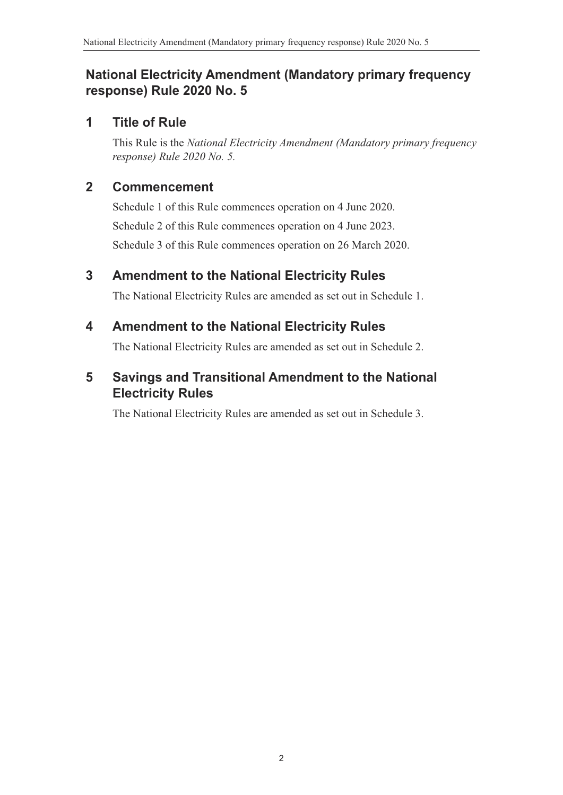# **National Electricity Amendment (Mandatory primary frequency response) Rule 2020 No. 5**

## **1 Title of Rule**

This Rule is the *National Electricity Amendment (Mandatory primary frequency response) Rule 2020 No. 5.*

## **2 Commencement**

Schedule 1 of this Rule commences operation on 4 June 2020. Schedule 2 of this Rule commences operation on 4 June 2023. Schedule 3 of this Rule commences operation on 26 March 2020.

# **3 Amendment to the National Electricity Rules**

The National Electricity Rules are amended as set out in Schedule 1.

# **4 Amendment to the National Electricity Rules**

The National Electricity Rules are amended as set out in [Schedule 2.](#page-2-0)

# **5 Savings and Transitional Amendment to the National Electricity Rules**

The National Electricity Rules are amended as set out in Schedule 3.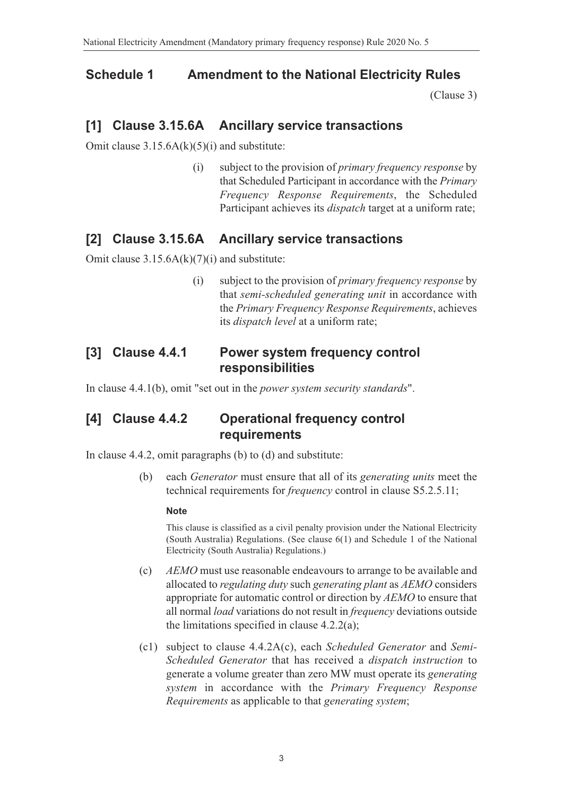### **Schedule 1 Amendment to the National Electricity Rules**

<span id="page-2-0"></span>(Clause 3)

### **[1] Clause 3.15.6A Ancillary service transactions**

Omit clause  $3.15.6A(k)(5)(i)$  and substitute:

(i) subject to the provision of *primary frequency response* by that Scheduled Participant in accordance with the *Primary Frequency Response Requirements*, the Scheduled Participant achieves its *dispatch* target at a uniform rate;

### **[2] Clause 3.15.6A Ancillary service transactions**

Omit clause 3.15.6A(k)(7)(i) and substitute:

(i) subject to the provision of *primary frequency response* by that *semi-scheduled generating unit* in accordance with the *Primary Frequency Response Requirements*, achieves its *dispatch level* at a uniform rate;

### **[3] Clause 4.4.1 Power system frequency control responsibilities**

In clause 4.4.1(b), omit "set out in the *power system security standards*".

### **[4] Clause 4.4.2 Operational frequency control requirements**

In clause 4.4.2, omit paragraphs (b) to (d) and substitute:

(b) each *Generator* must ensure that all of its *generating units* meet the technical requirements for *frequency* control in clause S5.2.5.11;

#### **Note**

This clause is classified as a civil penalty provision under the National Electricity (South Australia) Regulations. (See clause 6(1) and Schedule 1 of the National Electricity (South Australia) Regulations.)

- (c) *AEMO* must use reasonable endeavours to arrange to be available and allocated to *regulating duty* such *generating plant* as *AEMO* considers appropriate for automatic control or direction by *AEMO* to ensure that all normal *load* variations do not result in *frequency* deviations outside the limitations specified in clause  $4.2.2(a)$ ;
- (c1) subject to clause 4.4.2A(c), each *Scheduled Generator* and *Semi-Scheduled Generator* that has received a *dispatch instruction* to generate a volume greater than zero MW must operate its *generating system* in accordance with the *Primary Frequency Response Requirements* as applicable to that *generating system*;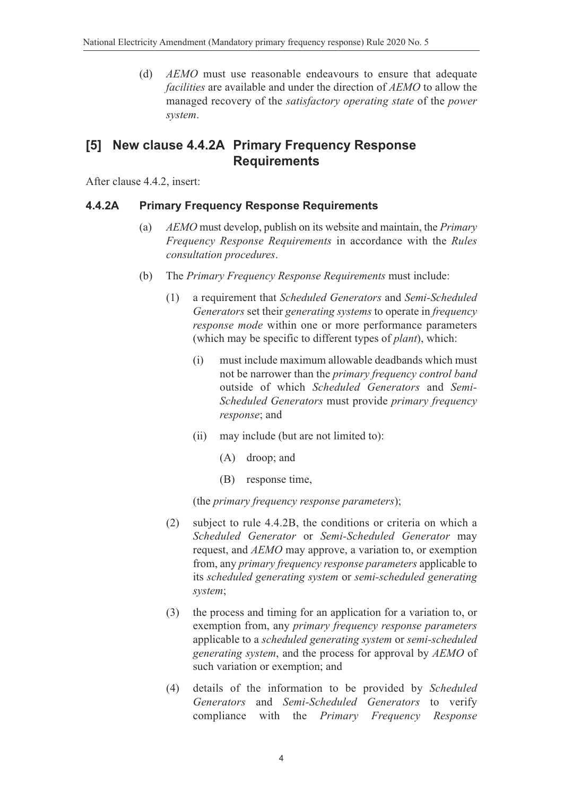(d) *AEMO* must use reasonable endeavours to ensure that adequate *facilities* are available and under the direction of *AEMO* to allow the managed recovery of the *satisfactory operating state* of the *power system*.

## **[5] New clause 4.4.2A Primary Frequency Response Requirements**

After clause 4.4.2, insert:

### **4.4.2A Primary Frequency Response Requirements**

- (a) *AEMO* must develop, publish on its website and maintain, the *Primary Frequency Response Requirements* in accordance with the *Rules consultation procedures*.
- (b) The *Primary Frequency Response Requirements* must include:
	- (1) a requirement that *Scheduled Generators* and *Semi-Scheduled Generators* set their *generating systems* to operate in *frequency response mode* within one or more performance parameters (which may be specific to different types of *plant*), which:
		- (i) must include maximum allowable deadbands which must not be narrower than the *primary frequency control band* outside of which *Scheduled Generators* and *Semi-Scheduled Generators* must provide *primary frequency response*; and
		- (ii) may include (but are not limited to):
			- (A) droop; and
			- (B) response time,

(the *primary frequency response parameters*);

- (2) subject to rule 4.4.2B, the conditions or criteria on which a *Scheduled Generator* or *Semi-Scheduled Generator* may request, and *AEMO* may approve, a variation to, or exemption from, any *primary frequency response parameters* applicable to its *scheduled generating system* or *semi-scheduled generating system*;
- (3) the process and timing for an application for a variation to, or exemption from, any *primary frequency response parameters* applicable to a *scheduled generating system* or *semi-scheduled generating system*, and the process for approval by *AEMO* of such variation or exemption; and
- (4) details of the information to be provided by *Scheduled Generators* and *Semi-Scheduled Generators* to verify compliance with the *Primary Frequency Response*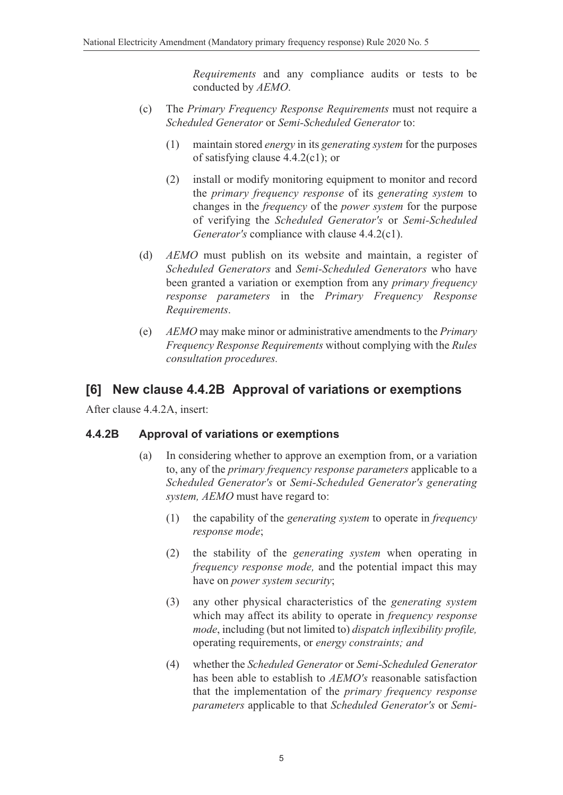*Requirements* and any compliance audits or tests to be conducted by *AEMO*.

- (c) The *Primary Frequency Response Requirements* must not require a *Scheduled Generator* or *Semi-Scheduled Generator* to:
	- (1) maintain stored *energy* in its *generating system* for the purposes of satisfying clause 4.4.2(c1); or
	- (2) install or modify monitoring equipment to monitor and record the *primary frequency response* of its *generating system* to changes in the *frequency* of the *power system* for the purpose of verifying the *Scheduled Generator's* or *Semi-Scheduled Generator's* compliance with clause 4.4.2(c1).
- (d) *AEMO* must publish on its website and maintain, a register of *Scheduled Generators* and *Semi-Scheduled Generators* who have been granted a variation or exemption from any *primary frequency response parameters* in the *Primary Frequency Response Requirements*.
- (e) *AEMO* may make minor or administrative amendments to the *Primary Frequency Response Requirements* without complying with the *Rules consultation procedures.*

## **[6] New clause 4.4.2B Approval of variations or exemptions**

After clause 4.4.2A, insert:

### **4.4.2B Approval of variations or exemptions**

- (a) In considering whether to approve an exemption from, or a variation to, any of the *primary frequency response parameters* applicable to a *Scheduled Generator's* or *Semi-Scheduled Generator's generating system, AEMO* must have regard to:
	- (1) the capability of the *generating system* to operate in *frequency response mode*;
	- (2) the stability of the *generating system* when operating in *frequency response mode,* and the potential impact this may have on *power system security*;
	- (3) any other physical characteristics of the *generating system* which may affect its ability to operate in *frequency response mode*, including (but not limited to) *dispatch inflexibility profile,* operating requirements, or *energy constraints; and*
	- (4) whether the *Scheduled Generator* or *Semi-Scheduled Generator* has been able to establish to *AEMO's* reasonable satisfaction that the implementation of the *primary frequency response parameters* applicable to that *Scheduled Generator's* or *Semi-*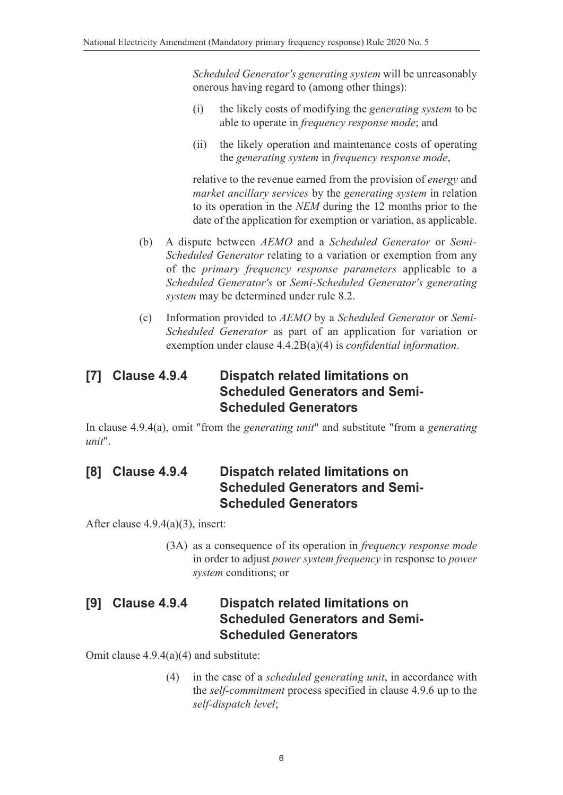*Scheduled Generator's generating system* will be unreasonably onerous having regard to (among other things):

- (i) the likely costs of modifying the *generating system* to be able to operate in *frequency response mode*; and
- (ii) the likely operation and maintenance costs of operating the *generating system* in *frequency response mode*,

relative to the revenue earned from the provision of *energy* and *market ancillary services* by the *generating system* in relation to its operation in the *NEM* during the 12 months prior to the date of the application for exemption or variation, as applicable.

- (b) A dispute between *AEMO* and a *Scheduled Generator* or *Semi-Scheduled Generator* relating to a variation or exemption from any of the *primary frequency response parameters* applicable to a *Scheduled Generator's* or *Semi-Scheduled Generator's generating system* may be determined under rule 8.2.
- (c) Information provided to *AEMO* by a *Scheduled Generator* or *Semi-Scheduled Generator* as part of an application for variation or exemption under clause 4.4.2B(a)(4) is *confidential information*.

## **[7] Clause 4.9.4 Dispatch related limitations on Scheduled Generators and Semi-Scheduled Generators**

In clause 4.9.4(a), omit "from the *generating unit*" and substitute "from a *generating unit*".

## **[8] Clause 4.9.4 Dispatch related limitations on Scheduled Generators and Semi-Scheduled Generators**

After clause 4.9.4(a)(3), insert:

(3A) as a consequence of its operation in *frequency response mode* in order to adjust *power system frequency* in response to *power system* conditions; or

## **[9] Clause 4.9.4 Dispatch related limitations on Scheduled Generators and Semi-Scheduled Generators**

Omit clause 4.9.4(a)(4) and substitute:

(4) in the case of a *scheduled generating unit*, in accordance with the *self-commitment* process specified in clause 4.9.6 up to the *self-dispatch level*;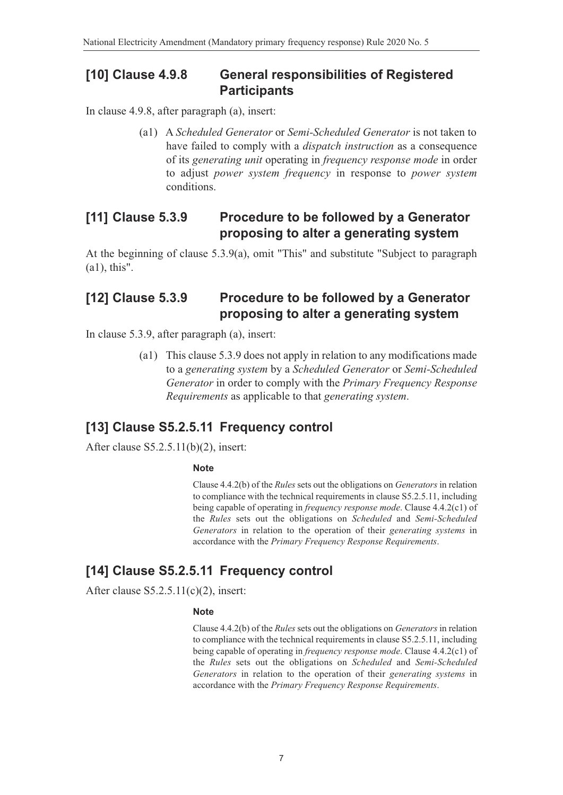## **[10] Clause 4.9.8 General responsibilities of Registered Participants**

In clause 4.9.8, after paragraph (a), insert:

(a1) A *Scheduled Generator* or *Semi-Scheduled Generator* is not taken to have failed to comply with a *dispatch instruction* as a consequence of its *generating unit* operating in *frequency response mode* in order to adjust *power system frequency* in response to *power system* conditions.

## **[11] Clause 5.3.9 Procedure to be followed by a Generator proposing to alter a generating system**

At the beginning of clause 5.3.9(a), omit "This" and substitute "Subject to paragraph (a1), this".

## **[12] Clause 5.3.9 Procedure to be followed by a Generator proposing to alter a generating system**

In clause 5.3.9, after paragraph (a), insert:

(a1) This clause 5.3.9 does not apply in relation to any modifications made to a *generating system* by a *Scheduled Generator* or *Semi-Scheduled Generator* in order to comply with the *Primary Frequency Response Requirements* as applicable to that *generating system*.

# **[13] Clause S5.2.5.11 Frequency control**

After clause S5.2.5.11(b)(2), insert:

#### **Note**

Clause 4.4.2(b) of the *Rules* sets out the obligations on *Generators* in relation to compliance with the technical requirements in clause S5.2.5.11, including being capable of operating in *frequency response mode*. Clause 4.4.2(c1) of the *Rules* sets out the obligations on *Scheduled* and *Semi-Scheduled Generators* in relation to the operation of their *generating systems* in accordance with the *Primary Frequency Response Requirements*.

# **[14] Clause S5.2.5.11 Frequency control**

After clause  $S5.2.5.11(c)(2)$ , insert:

#### **Note**

Clause 4.4.2(b) of the *Rules* sets out the obligations on *Generators* in relation to compliance with the technical requirements in clause S5.2.5.11, including being capable of operating in *frequency response mode*. Clause 4.4.2(c1) of the *Rules* sets out the obligations on *Scheduled* and *Semi-Scheduled Generators* in relation to the operation of their *generating systems* in accordance with the *Primary Frequency Response Requirements*.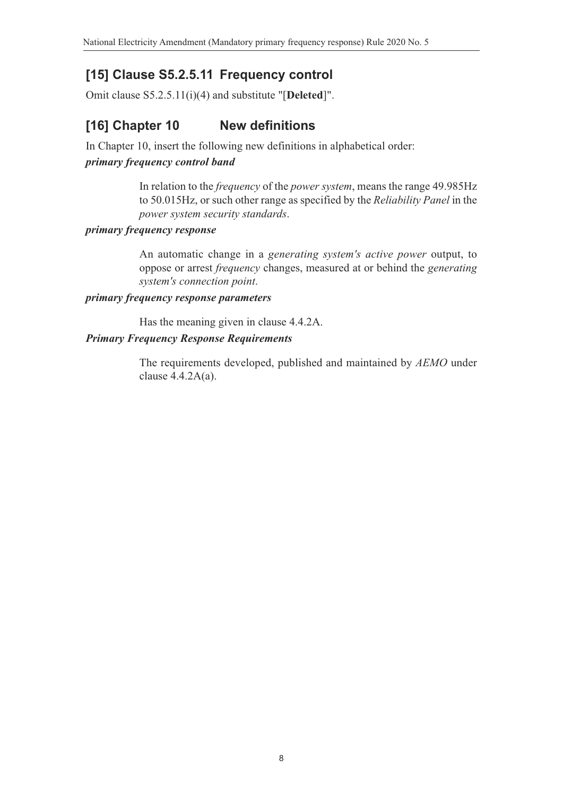# **[15] Clause S5.2.5.11 Frequency control**

Omit clause S5.2.5.11(i)(4) and substitute "[**Deleted**]".

# **[16] Chapter 10 New definitions**

In Chapter 10, insert the following new definitions in alphabetical order: *primary frequency control band*

> In relation to the *frequency* of the *power system*, means the range 49.985Hz to 50.015Hz, or such other range as specified by the *Reliability Panel* in the *power system security standards*.

### *primary frequency response*

An automatic change in a *generating system's active power* output, to oppose or arrest *frequency* changes, measured at or behind the *generating system's connection point*.

#### *primary frequency response parameters*

Has the meaning given in clause 4.4.2A.

### *Primary Frequency Response Requirements*

The requirements developed, published and maintained by *AEMO* under clause 4.4.2A(a).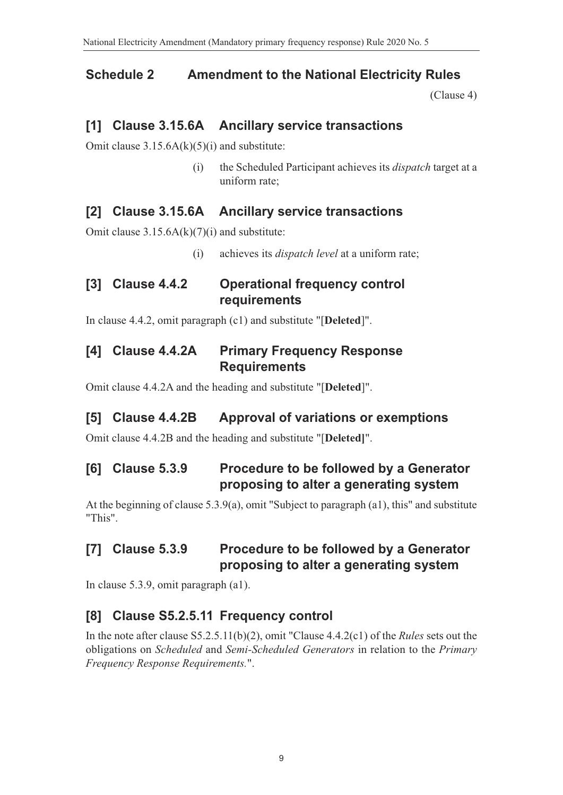### **Schedule 2 Amendment to the National Electricity Rules**

(Clause 4)

### **[1] Clause 3.15.6A Ancillary service transactions**

Omit clause  $3.15.6A(k)(5)(i)$  and substitute:

(i) the Scheduled Participant achieves its *dispatch* target at a uniform rate;

## **[2] Clause 3.15.6A Ancillary service transactions**

Omit clause  $3.15.6A(k)(7)(i)$  and substitute:

(i) achieves its *dispatch level* at a uniform rate;

## **[3] Clause 4.4.2 Operational frequency control requirements**

In clause 4.4.2, omit paragraph (c1) and substitute "[**Deleted**]".

## **[4] Clause 4.4.2A Primary Frequency Response Requirements**

Omit clause 4.4.2A and the heading and substitute "[**Deleted**]".

### **[5] Clause 4.4.2B Approval of variations or exemptions**

Omit clause 4.4.2B and the heading and substitute "[**Deleted]**".

# **[6] Clause 5.3.9 Procedure to be followed by a Generator proposing to alter a generating system**

At the beginning of clause 5.3.9(a), omit "Subject to paragraph (a1), this" and substitute "This".

## **[7] Clause 5.3.9 Procedure to be followed by a Generator proposing to alter a generating system**

In clause 5.3.9, omit paragraph (a1).

## **[8] Clause S5.2.5.11 Frequency control**

In the note after clause S5.2.5.11(b)(2), omit "Clause 4.4.2(c1) of the *Rules* sets out the obligations on *Scheduled* and *Semi-Scheduled Generators* in relation to the *Primary Frequency Response Requirements.*".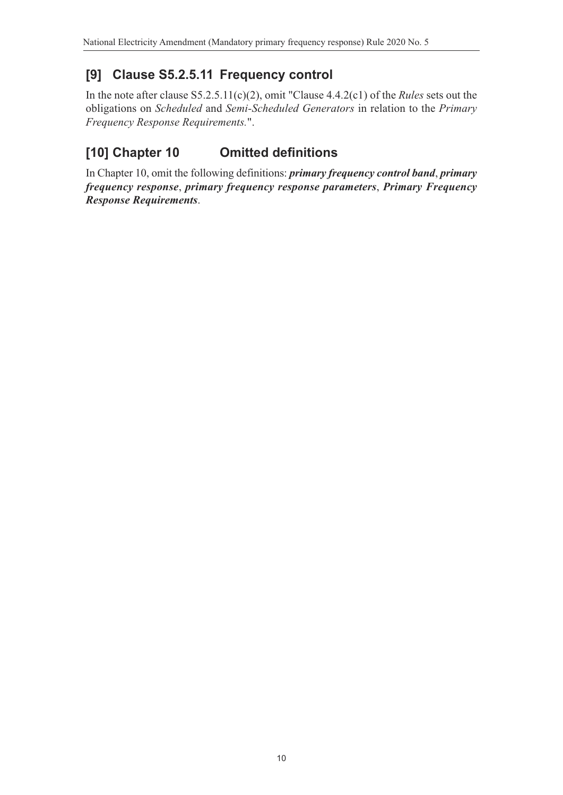# **[9] Clause S5.2.5.11 Frequency control**

In the note after clause S5.2.5.11(c)(2), omit "Clause 4.4.2(c1) of the *Rules* sets out the obligations on *Scheduled* and *Semi-Scheduled Generators* in relation to the *Primary Frequency Response Requirements.*".

# **[10] Chapter 10 Omitted definitions**

In Chapter 10, omit the following definitions: *primary frequency control band*, *primary frequency response*, *primary frequency response parameters*, *Primary Frequency Response Requirements*.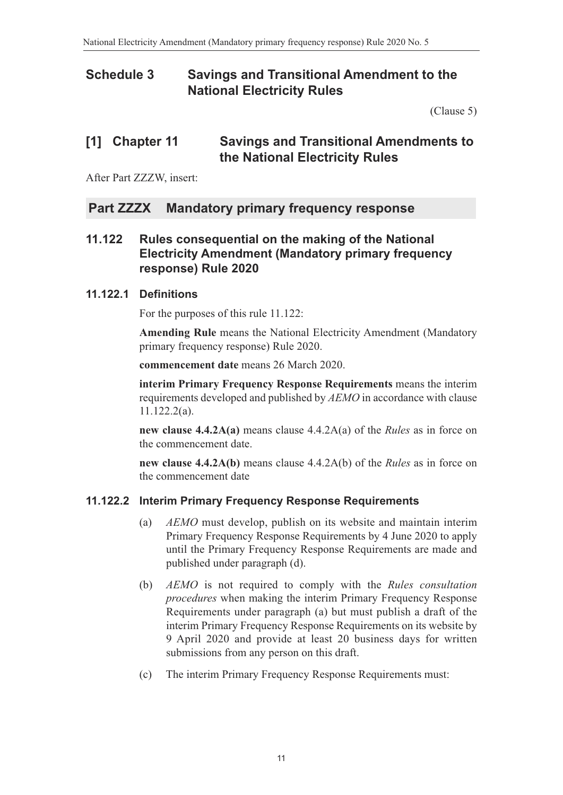## **Schedule 3 Savings and Transitional Amendment to the National Electricity Rules**

(Clause 5)

### **[1] Chapter 11 Savings and Transitional Amendments to the National Electricity Rules**

After Part ZZZW, insert:

### **Part ZZZX Mandatory primary frequency response**

### **11.122 Rules consequential on the making of the National Electricity Amendment (Mandatory primary frequency response) Rule 2020**

#### **11.122.1 Definitions**

For the purposes of this rule 11.122:

**Amending Rule** means the National Electricity Amendment (Mandatory primary frequency response) Rule 2020.

**commencement date** means 26 March 2020.

**interim Primary Frequency Response Requirements** means the interim requirements developed and published by *AEMO* in accordance with clause 11.122.2(a).

**new clause 4.4.2A(a)** means clause 4.4.2A(a) of the *Rules* as in force on the commencement date.

**new clause 4.4.2A(b)** means clause 4.4.2A(b) of the *Rules* as in force on the commencement date

### **11.122.2 Interim Primary Frequency Response Requirements**

- (a) *AEMO* must develop, publish on its website and maintain interim Primary Frequency Response Requirements by 4 June 2020 to apply until the Primary Frequency Response Requirements are made and published under paragraph (d).
- (b) *AEMO* is not required to comply with the *Rules consultation procedures* when making the interim Primary Frequency Response Requirements under paragraph (a) but must publish a draft of the interim Primary Frequency Response Requirements on its website by 9 April 2020 and provide at least 20 business days for written submissions from any person on this draft.
- (c) The interim Primary Frequency Response Requirements must: